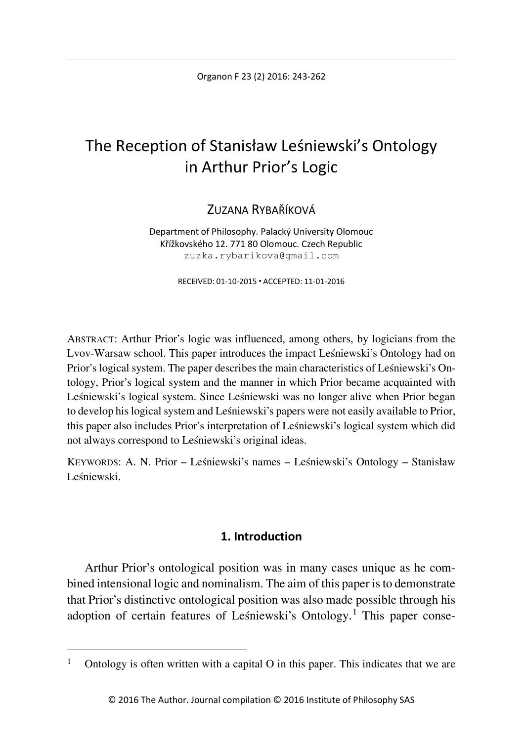Organon F 23 (2) 2016: 243-262

# The Reception of Stanisław Leśniewski's Ontology in Arthur Prior's Logic

ZUZANA RYRAŘÍKOVÁ

Department of Philosophy. Palacký University Olomouc Křížkovského 12. 771 80 Olomouc. Czech Republic zuzka.rybarikova@gmail.com

RECEIVED: 01-10-2015 ACCEPTED: 11-01-2016

ABSTRACT: Arthur Prior's logic was influenced, among others, by logicians from the Lvov-Warsaw school. This paper introduces the impact Leśniewski's Ontology had on Prior's logical system. The paper describes the main characteristics of Leśniewski's Ontology, Prior's logical system and the manner in which Prior became acquainted with Leśniewski's logical system. Since Leśniewski was no longer alive when Prior began to develop his logical system and Leśniewski's papers were not easily available to Prior, this paper also includes Prior's interpretation of Leśniewski's logical system which did not always correspond to Leśniewski's original ideas.

KEYWORDS: A. N. Prior – Leśniewski's names – Leśniewski's Ontology – Stanisław Leśniewski.

# **1. Introduction**

Arthur Prior's ontological position was in many cases unique as he combined intensional logic and nominalism. The aim of this paper is to demonstrate that Prior's distinctive ontological position was also made possible through his adoption of certain features of Leśniewski's Ontology.<sup>[1](#page-0-0)</sup> This paper conse-

<span id="page-0-0"></span>Ontology is often written with a capital  $O$  in this paper. This indicates that we are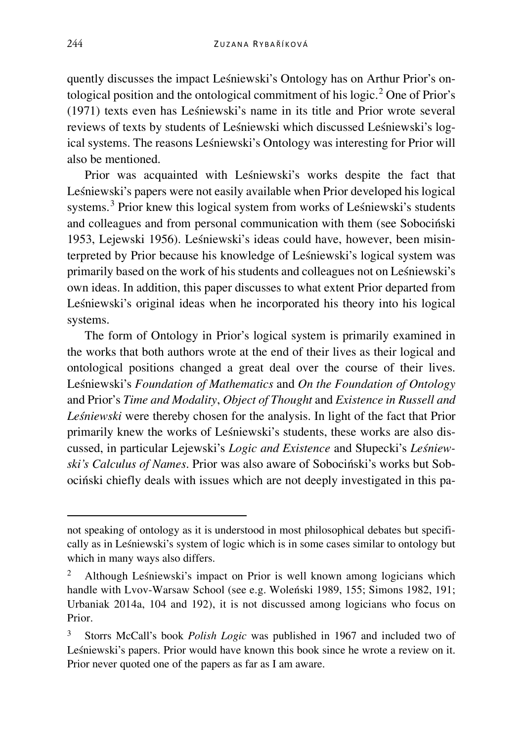quently discusses the impact Leśniewski's Ontology has on Arthur Prior's on-tological position and the ontological commitment of his logic.<sup>[2](#page-1-0)</sup> One of Prior's (1971) texts even has Leśniewski's name in its title and Prior wrote several reviews of texts by students of Leśniewski which discussed Leśniewski's logical systems. The reasons Leśniewski's Ontology was interesting for Prior will also be mentioned.

Prior was acquainted with Leśniewski's works despite the fact that Leśniewski's papers were not easily available when Prior developed his logical systems.[3](#page-1-1) Prior knew this logical system from works of Leśniewski's students and colleagues and from personal communication with them (see Sobociński 1953, Lejewski 1956). Leśniewski's ideas could have, however, been misinterpreted by Prior because his knowledge of Leśniewski's logical system was primarily based on the work of his students and colleagues not on Leśniewski's own ideas. In addition, this paper discusses to what extent Prior departed from Leśniewski's original ideas when he incorporated his theory into his logical systems.

The form of Ontology in Prior's logical system is primarily examined in the works that both authors wrote at the end of their lives as their logical and ontological positions changed a great deal over the course of their lives. Leśniewski's *Foundation of Mathematics* and *On the Foundation of Ontology* and Prior's *Time and Modality*, *Object of Thought* and *Existence in Russell and Leśniewski* were thereby chosen for the analysis. In light of the fact that Prior primarily knew the works of Leśniewski's students, these works are also discussed, in particular Lejewski's *Logic and Existence* and Słupecki's *Leśniewski's Calculus of Names*. Prior was also aware of Sobociński's works but Sobociński chiefly deals with issues which are not deeply investigated in this pa-

Ĩ

not speaking of ontology as it is understood in most philosophical debates but specifically as in Leśniewski's system of logic which is in some cases similar to ontology but which in many ways also differs.

<span id="page-1-0"></span>Although Leśniewski's impact on Prior is well known among logicians which handle with Lvov-Warsaw School (see e.g. Woleński 1989, 155; Simons 1982, 191; Urbaniak 2014a, 104 and 192), it is not discussed among logicians who focus on Prior.

<span id="page-1-1"></span><sup>3</sup> Storrs McCall's book *Polish Logic* was published in 1967 and included two of Leśniewski's papers. Prior would have known this book since he wrote a review on it. Prior never quoted one of the papers as far as I am aware.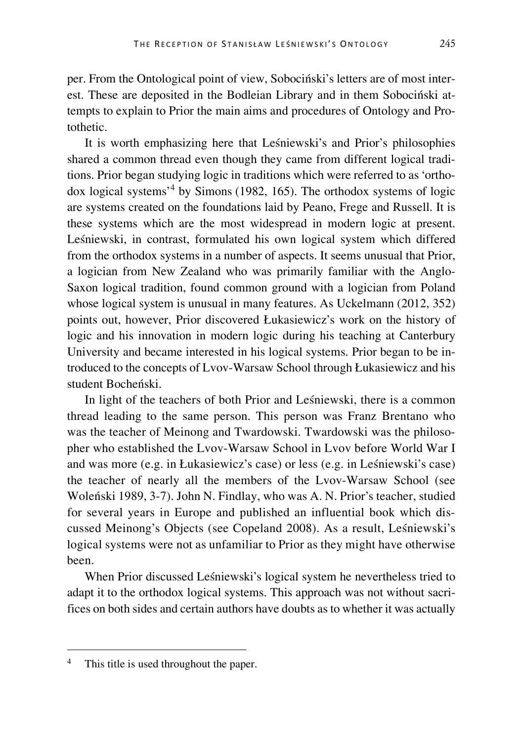per. From the Ontological point of view, Sobociński's letters are of most interest. These are deposited in the Bodleian Library and in them Sobociński attempts to explain to Prior the main aims and procedures of Ontology and Protothetic.

It is worth emphasizing here that Leśniewski's and Prior's philosophies shared a common thread even though they came from different logical traditions. Prior began studying logic in traditions which were referred to as 'orthodox logical systems'[4](#page-2-0) by Simons (1982, 165). The orthodox systems of logic are systems created on the foundations laid by Peano, Frege and Russell. It is these systems which are the most widespread in modern logic at present. Leśniewski, in contrast, formulated his own logical system which differed from the orthodox systems in a number of aspects. It seems unusual that Prior, a logician from New Zealand who was primarily familiar with the Anglo-Saxon logical tradition, found common ground with a logician from Poland whose logical system is unusual in many features. As Uckelmann (2012, 352) points out, however, Prior discovered Łukasiewicz's work on the history of logic and his innovation in modern logic during his teaching at Canterbury University and became interested in his logical systems. Prior began to be introduced to the concepts of Lvov-Warsaw School through Łukasiewicz and his student Bocheński.

In light of the teachers of both Prior and Leśniewski, there is a common thread leading to the same person. This person was Franz Brentano who was the teacher of Meinong and Twardowski. Twardowski was the philosopher who established the Lvov-Warsaw School in Lvov before World War I and was more (e.g. in Łukasiewicz's case) or less (e.g. in Leśniewski's case) the teacher of nearly all the members of the Lvov-Warsaw School (see Woleński 1989, 3-7). John N. Findlay, who was A. N. Prior's teacher, studied for several years in Europe and published an influential book which discussed Meinong's Objects (see Copeland 2008). As a result, Leśniewski's logical systems were not as unfamiliar to Prior as they might have otherwise been.

When Prior discussed Leśniewski's logical system he nevertheless tried to adapt it to the orthodox logical systems. This approach was not without sacrifices on both sides and certain authors have doubts as to whether it was actually

<span id="page-2-0"></span><sup>&</sup>lt;sup>4</sup> This title is used throughout the paper.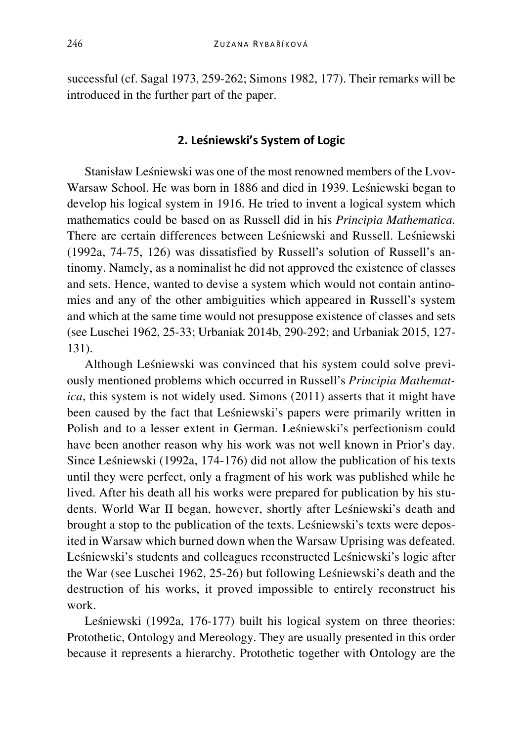successful (cf. Sagal 1973, 259-262; Simons 1982, 177). Their remarks will be introduced in the further part of the paper.

#### **2. Leśniewski's System of Logic**

Stanisław Leśniewski was one of the most renowned members of the Lvov-Warsaw School. He was born in 1886 and died in 1939. Leśniewski began to develop his logical system in 1916. He tried to invent a logical system which mathematics could be based on as Russell did in his *Principia Mathematica*. There are certain differences between Leśniewski and Russell. Leśniewski (1992a, 74-75, 126) was dissatisfied by Russell's solution of Russell's antinomy. Namely, as a nominalist he did not approved the existence of classes and sets. Hence, wanted to devise a system which would not contain antinomies and any of the other ambiguities which appeared in Russell's system and which at the same time would not presuppose existence of classes and sets (see Luschei 1962, 25-33; Urbaniak 2014b, 290-292; and Urbaniak 2015, 127- 131).

Although Leśniewski was convinced that his system could solve previously mentioned problems which occurred in Russell's *Principia Mathematica*, this system is not widely used. Simons (2011) asserts that it might have been caused by the fact that Leśniewski's papers were primarily written in Polish and to a lesser extent in German. Leśniewski's perfectionism could have been another reason why his work was not well known in Prior's day. Since Leśniewski (1992a, 174-176) did not allow the publication of his texts until they were perfect, only a fragment of his work was published while he lived. After his death all his works were prepared for publication by his students. World War II began, however, shortly after Leśniewski's death and brought a stop to the publication of the texts. Leśniewski's texts were deposited in Warsaw which burned down when the Warsaw Uprising was defeated. Leśniewski's students and colleagues reconstructed Leśniewski's logic after the War (see Luschei 1962, 25-26) but following Leśniewski's death and the destruction of his works, it proved impossible to entirely reconstruct his work.

Leśniewski (1992a, 176-177) built his logical system on three theories: Protothetic, Ontology and Mereology. They are usually presented in this order because it represents a hierarchy. Protothetic together with Ontology are the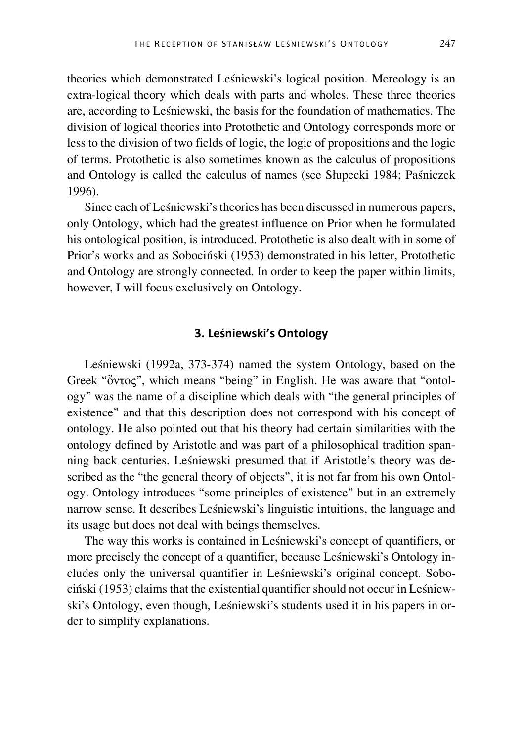theories which demonstrated Leśniewski's logical position. Mereology is an extra-logical theory which deals with parts and wholes. These three theories are, according to Leśniewski, the basis for the foundation of mathematics. The division of logical theories into Protothetic and Ontology corresponds more or less to the division of two fields of logic, the logic of propositions and the logic of terms. Protothetic is also sometimes known as the calculus of propositions and Ontology is called the calculus of names (see Słupecki 1984; Paśniczek 1996).

Since each of Leśniewski's theories has been discussed in numerous papers, only Ontology, which had the greatest influence on Prior when he formulated his ontological position, is introduced. Protothetic is also dealt with in some of Prior's works and as Sobociński (1953) demonstrated in his letter, Protothetic and Ontology are strongly connected. In order to keep the paper within limits, however, I will focus exclusively on Ontology.

# **3. Leśniewski's Ontology**

Leśniewski (1992a, 373-374) named the system Ontology, based on the Greek "ὄντος", which means "being" in English. He was aware that "ontology" was the name of a discipline which deals with "the general principles of existence" and that this description does not correspond with his concept of ontology. He also pointed out that his theory had certain similarities with the ontology defined by Aristotle and was part of a philosophical tradition spanning back centuries. Leśniewski presumed that if Aristotle's theory was described as the "the general theory of objects", it is not far from his own Ontology. Ontology introduces "some principles of existence" but in an extremely narrow sense. It describes Leśniewski's linguistic intuitions, the language and its usage but does not deal with beings themselves.

The way this works is contained in Leśniewski's concept of quantifiers, or more precisely the concept of a quantifier, because Leśniewski's Ontology includes only the universal quantifier in Leśniewski's original concept. Sobociński (1953) claims that the existential quantifier should not occur in Leśniewski's Ontology, even though, Leśniewski's students used it in his papers in order to simplify explanations.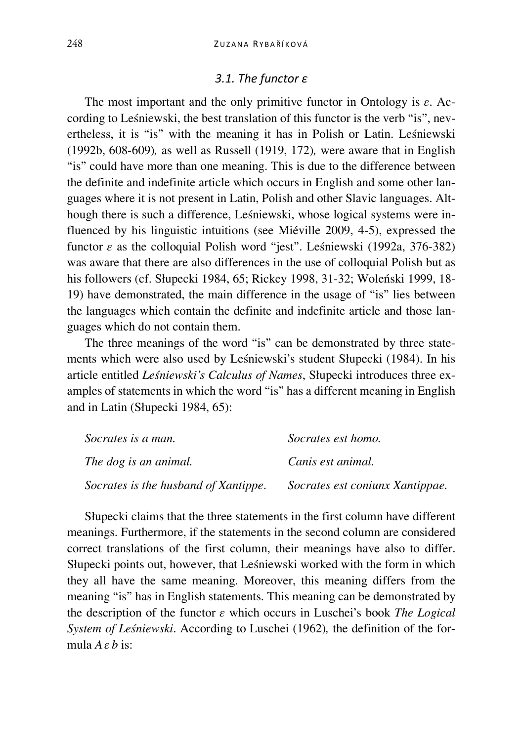#### *3.1. The functor ε*

The most important and the only primitive functor in Ontology is *ε*. According to Leśniewski, the best translation of this functor is the verb "is", nevertheless, it is "is" with the meaning it has in Polish or Latin. Leśniewski (1992b, 608-609)*,* as well as Russell (1919, 172)*,* were aware that in English "is" could have more than one meaning. This is due to the difference between the definite and indefinite article which occurs in English and some other languages where it is not present in Latin, Polish and other Slavic languages. Although there is such a difference, Leśniewski, whose logical systems were influenced by his linguistic intuitions (see Miéville 2009, 4-5), expressed the functor *ε* as the colloquial Polish word "jest". Leśniewski (1992a, 376-382) was aware that there are also differences in the use of colloquial Polish but as his followers (cf. Słupecki 1984, 65; Rickey 1998, 31-32; Woleński 1999, 18- 19) have demonstrated, the main difference in the usage of "is" lies between the languages which contain the definite and indefinite article and those languages which do not contain them.

The three meanings of the word "is" can be demonstrated by three statements which were also used by Leśniewski's student Słupecki (1984). In his article entitled *Leśniewski's Calculus of Names*, Słupecki introduces three examples of statements in which the word "is" has a different meaning in English and in Latin (Słupecki 1984, 65):

| Socrates is a man.                   | Socrates est homo.              |
|--------------------------------------|---------------------------------|
| The dog is an animal.                | Canis est animal.               |
| Socrates is the husband of Xantippe. | Socrates est coniunx Xantippae. |

Słupecki claims that the three statements in the first column have different meanings. Furthermore, if the statements in the second column are considered correct translations of the first column, their meanings have also to differ. Słupecki points out, however, that Leśniewski worked with the form in which they all have the same meaning. Moreover, this meaning differs from the meaning "is" has in English statements. This meaning can be demonstrated by the description of the functor *ε* which occurs in Luschei's book *The Logical System of Leśniewski*. According to Luschei (1962)*,* the definition of the formula *A ε b* is: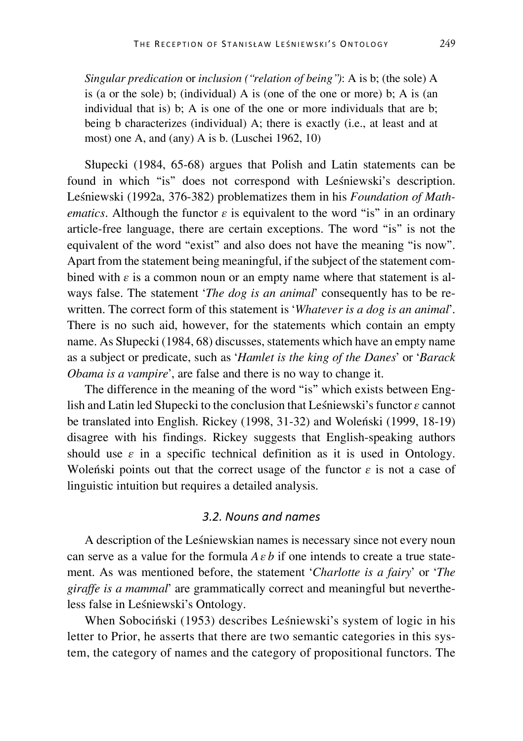*Singular predication* or *inclusion ("relation of being")*: A is b; (the sole) A is (a or the sole) b; (individual) A is (one of the one or more) b; A is (an individual that is) b; A is one of the one or more individuals that are b; being b characterizes (individual) A; there is exactly (i.e., at least and at most) one A, and (any) A is b. (Luschei 1962, 10)

Słupecki (1984, 65-68) argues that Polish and Latin statements can be found in which "is" does not correspond with Leśniewski's description. Leśniewski (1992a, 376-382) problematizes them in his *Foundation of Mathematics*. Although the functor  $\varepsilon$  is equivalent to the word "is" in an ordinary article-free language, there are certain exceptions. The word "is" is not the equivalent of the word "exist" and also does not have the meaning "is now". Apart from the statement being meaningful, if the subject of the statement combined with  $\varepsilon$  is a common noun or an empty name where that statement is always false. The statement '*The dog is an animal*' consequently has to be rewritten. The correct form of this statement is '*Whatever is a dog is an animal*'. There is no such aid, however, for the statements which contain an empty name. As Słupecki (1984, 68) discusses, statements which have an empty name as a subject or predicate, such as '*Hamlet is the king of the Danes*' or '*Barack Obama is a vampire*', are false and there is no way to change it.

The difference in the meaning of the word "is" which exists between English and Latin led Słupecki to the conclusion that Leśniewski's functor *ε* cannot be translated into English. Rickey (1998, 31-32) and Woleński (1999, 18-19) disagree with his findings. Rickey suggests that English-speaking authors should use  $\varepsilon$  in a specific technical definition as it is used in Ontology. Woleński points out that the correct usage of the functor *ε* is not a case of linguistic intuition but requires a detailed analysis.

#### *3.2. Nouns and names*

A description of the Leśniewskian names is necessary since not every noun can serve as a value for the formula  $A \varepsilon b$  if one intends to create a true statement. As was mentioned before, the statement '*Charlotte is a fairy*' or '*The giraffe is a mammal*' are grammatically correct and meaningful but nevertheless false in Leśniewski's Ontology.

When Sobociński (1953) describes Leśniewski's system of logic in his letter to Prior, he asserts that there are two semantic categories in this system, the category of names and the category of propositional functors. The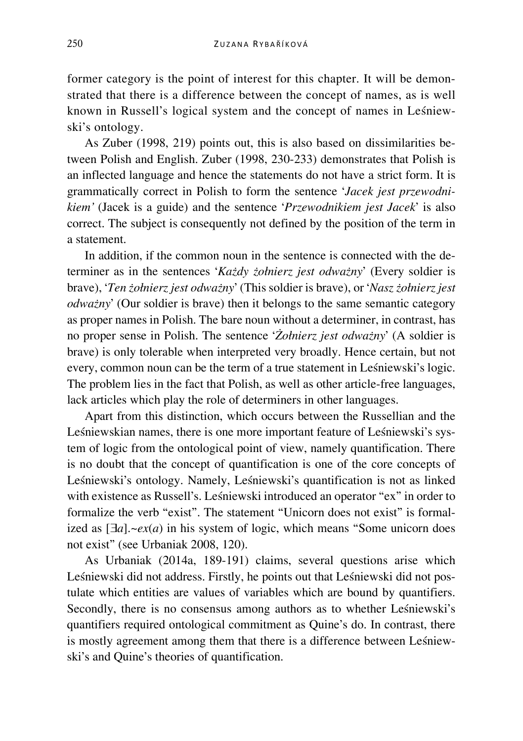former category is the point of interest for this chapter. It will be demonstrated that there is a difference between the concept of names, as is well known in Russell's logical system and the concept of names in Leśniewski's ontology.

As Zuber (1998, 219) points out, this is also based on dissimilarities between Polish and English. Zuber (1998, 230-233) demonstrates that Polish is an inflected language and hence the statements do not have a strict form. It is grammatically correct in Polish to form the sentence '*Jacek jest przewodnikiem'* (Jacek is a guide) and the sentence '*Przewodnikiem jest Jacek*' is also correct. The subject is consequently not defined by the position of the term in a statement.

In addition, if the common noun in the sentence is connected with the determiner as in the sentences '*Każdy żołnierz jest odważny*' (Every soldier is brave), '*Ten żołnierz jest odważny*' (This soldier is brave), or '*Nasz żołnierz jest odważny*' (Our soldier is brave) then it belongs to the same semantic category as proper names in Polish. The bare noun without a determiner, in contrast, has no proper sense in Polish. The sentence '*Żołnierz jest odważny*' (A soldier is brave) is only tolerable when interpreted very broadly. Hence certain, but not every, common noun can be the term of a true statement in Leśniewski's logic. The problem lies in the fact that Polish, as well as other article-free languages, lack articles which play the role of determiners in other languages.

Apart from this distinction, which occurs between the Russellian and the Leśniewskian names, there is one more important feature of Leśniewski's system of logic from the ontological point of view, namely quantification. There is no doubt that the concept of quantification is one of the core concepts of Leśniewski's ontology. Namely, Leśniewski's quantification is not as linked with existence as Russell's. Leśniewski introduced an operator "ex" in order to formalize the verb "exist". The statement "Unicorn does not exist" is formalized as [∃*a*].~*ex*(*a*) in his system of logic, which means "Some unicorn does not exist" (see Urbaniak 2008, 120).

As Urbaniak (2014a, 189-191) claims, several questions arise which Leśniewski did not address. Firstly, he points out that Leśniewski did not postulate which entities are values of variables which are bound by quantifiers. Secondly, there is no consensus among authors as to whether Leśniewski's quantifiers required ontological commitment as Quine's do. In contrast, there is mostly agreement among them that there is a difference between Leśniewski's and Quine's theories of quantification.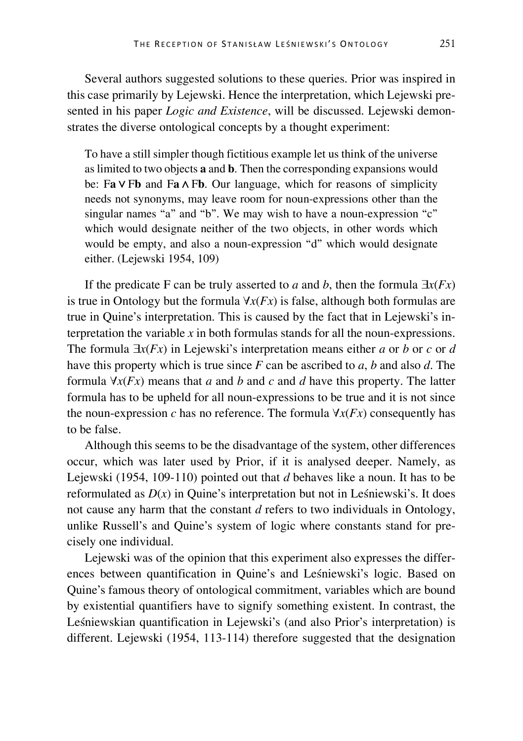Several authors suggested solutions to these queries. Prior was inspired in this case primarily by Lejewski. Hence the interpretation, which Lejewski presented in his paper *Logic and Existence*, will be discussed. Lejewski demonstrates the diverse ontological concepts by a thought experiment:

To have a still simpler though fictitious example let us think of the universe as limited to two objects **a** and **b**. Then the corresponding expansions would be: F**a ∨**F**b** and F**a ∧**F**b**. Our language, which for reasons of simplicity needs not synonyms, may leave room for noun-expressions other than the singular names "a" and "b". We may wish to have a noun-expression "c" which would designate neither of the two objects, in other words which would be empty, and also a noun-expression "d" which would designate either. (Lejewski 1954, 109)

If the predicate F can be truly asserted to *a* and *b*, then the formula  $\exists x(Fx)$ is true in Ontology but the formula ∀*x*(*Fx*) is false, although both formulas are true in Quine's interpretation. This is caused by the fact that in Lejewski's interpretation the variable *x* in both formulas stands for all the noun-expressions. The formula ∃*x*(*Fx*) in Lejewski's interpretation means either *a* or *b* or *c* or *d* have this property which is true since *F* can be ascribed to *a*, *b* and also *d*. The formula  $\forall x(Fx)$  means that *a* and *b* and *c* and *d* have this property. The latter formula has to be upheld for all noun-expressions to be true and it is not since the noun-expression *c* has no reference. The formula  $\forall x(Fx)$  consequently has to be false.

Although this seems to be the disadvantage of the system, other differences occur, which was later used by Prior, if it is analysed deeper. Namely, as Lejewski (1954, 109-110) pointed out that *d* behaves like a noun. It has to be reformulated as  $D(x)$  in Quine's interpretation but not in Leśniewski's. It does not cause any harm that the constant *d* refers to two individuals in Ontology, unlike Russell's and Quine's system of logic where constants stand for precisely one individual.

Lejewski was of the opinion that this experiment also expresses the differences between quantification in Quine's and Leśniewski's logic. Based on Quine's famous theory of ontological commitment, variables which are bound by existential quantifiers have to signify something existent. In contrast, the Leśniewskian quantification in Lejewski's (and also Prior's interpretation) is different. Lejewski (1954, 113-114) therefore suggested that the designation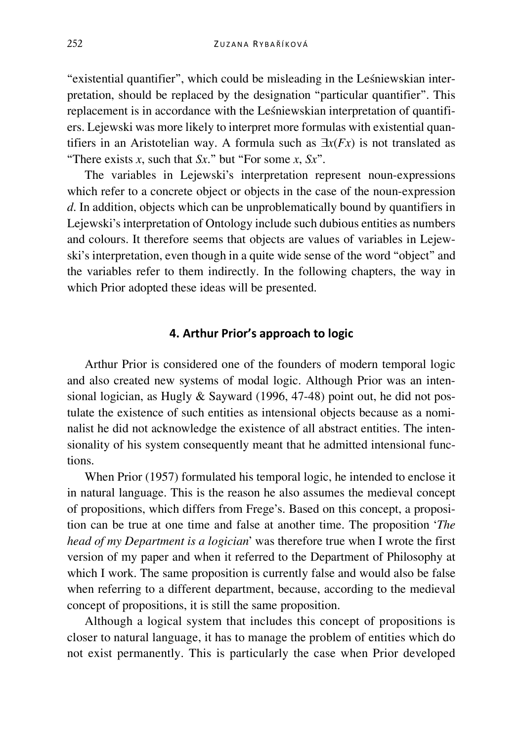"existential quantifier", which could be misleading in the Leśniewskian interpretation, should be replaced by the designation "particular quantifier". This replacement is in accordance with the Leśniewskian interpretation of quantifiers. Lejewski was more likely to interpret more formulas with existential quantifiers in an Aristotelian way. A formula such as ∃*x*(*Fx*) is not translated as "There exists *x*, such that *Sx*." but "For some *x*, *Sx*".

The variables in Lejewski's interpretation represent noun-expressions which refer to a concrete object or objects in the case of the noun-expression *d*. In addition, objects which can be unproblematically bound by quantifiers in Lejewski's interpretation of Ontology include such dubious entities as numbers and colours. It therefore seems that objects are values of variables in Lejewski's interpretation, even though in a quite wide sense of the word "object" and the variables refer to them indirectly. In the following chapters, the way in which Prior adopted these ideas will be presented.

## **4. Arthur Prior's approach to logic**

Arthur Prior is considered one of the founders of modern temporal logic and also created new systems of modal logic. Although Prior was an intensional logician, as Hugly  $\&$  Sayward (1996, 47-48) point out, he did not postulate the existence of such entities as intensional objects because as a nominalist he did not acknowledge the existence of all abstract entities. The intensionality of his system consequently meant that he admitted intensional functions.

When Prior (1957) formulated his temporal logic, he intended to enclose it in natural language. This is the reason he also assumes the medieval concept of propositions, which differs from Frege's. Based on this concept, a proposition can be true at one time and false at another time. The proposition '*The head of my Department is a logician*' was therefore true when I wrote the first version of my paper and when it referred to the Department of Philosophy at which I work. The same proposition is currently false and would also be false when referring to a different department, because, according to the medieval concept of propositions, it is still the same proposition.

Although a logical system that includes this concept of propositions is closer to natural language, it has to manage the problem of entities which do not exist permanently. This is particularly the case when Prior developed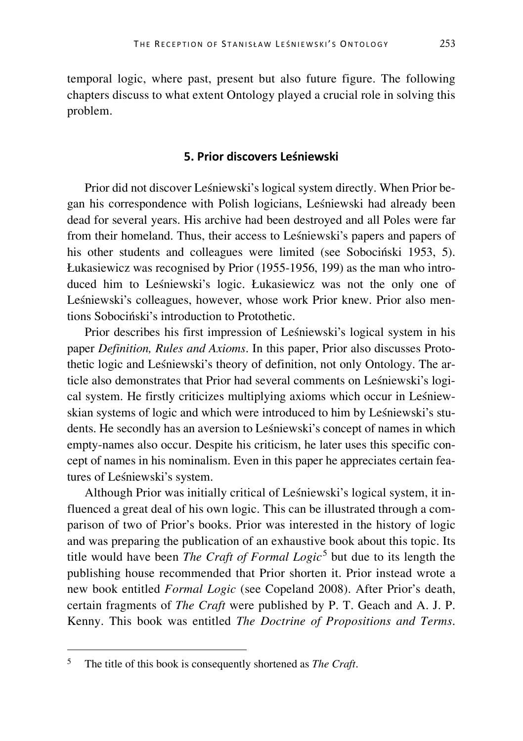temporal logic, where past, present but also future figure. The following chapters discuss to what extent Ontology played a crucial role in solving this problem.

## **5. Prior discovers Leśniewski**

Prior did not discover Leśniewski's logical system directly. When Prior began his correspondence with Polish logicians, Leśniewski had already been dead for several years. His archive had been destroyed and all Poles were far from their homeland. Thus, their access to Leśniewski's papers and papers of his other students and colleagues were limited (see Sobociński 1953, 5). Łukasiewicz was recognised by Prior (1955-1956, 199) as the man who introduced him to Leśniewski's logic. Łukasiewicz was not the only one of Leśniewski's colleagues, however, whose work Prior knew. Prior also mentions Sobociński's introduction to Protothetic.

Prior describes his first impression of Leśniewski's logical system in his paper *Definition, Rules and Axioms*. In this paper, Prior also discusses Protothetic logic and Leśniewski's theory of definition, not only Ontology. The article also demonstrates that Prior had several comments on Leśniewski's logical system. He firstly criticizes multiplying axioms which occur in Leśniewskian systems of logic and which were introduced to him by Leśniewski's students. He secondly has an aversion to Leśniewski's concept of names in which empty-names also occur. Despite his criticism, he later uses this specific concept of names in his nominalism. Even in this paper he appreciates certain features of Leśniewski's system.

Although Prior was initially critical of Leśniewski's logical system, it influenced a great deal of his own logic. This can be illustrated through a comparison of two of Prior's books. Prior was interested in the history of logic and was preparing the publication of an exhaustive book about this topic. Its title would have been *The Craft of Formal Logic*<sup>[5](#page-10-0)</sup> but due to its length the publishing house recommended that Prior shorten it. Prior instead wrote a new book entitled *Formal Logic* (see Copeland 2008). After Prior's death, certain fragments of *The Craft* were published by P. T. Geach and A. J. P. Kenny. This book was entitled *The Doctrine of Propositions and Terms*.

<span id="page-10-0"></span> <sup>5</sup> The title of this book is consequently shortened as *The Craft*.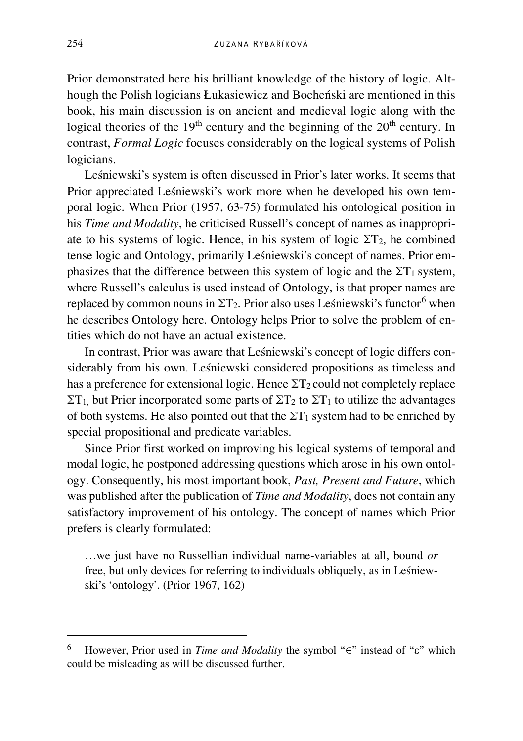Prior demonstrated here his brilliant knowledge of the history of logic. Although the Polish logicians Łukasiewicz and Bocheński are mentioned in this book, his main discussion is on ancient and medieval logic along with the logical theories of the  $19<sup>th</sup>$  century and the beginning of the  $20<sup>th</sup>$  century. In contrast, *Formal Logic* focuses considerably on the logical systems of Polish logicians.

Leśniewski's system is often discussed in Prior's later works. It seems that Prior appreciated Leśniewski's work more when he developed his own temporal logic. When Prior (1957, 63-75) formulated his ontological position in his *Time and Modality*, he criticised Russell's concept of names as inappropriate to his systems of logic. Hence, in his system of logic  $\Sigma T_2$ , he combined tense logic and Ontology, primarily Leśniewski's concept of names. Prior emphasizes that the difference between this system of logic and the  $\Sigma T_1$  system, where Russell's calculus is used instead of Ontology, is that proper names are replaced by common nouns in  $\Sigma T_2$ . Prior also uses Leśniewski's functor<sup>[6](#page-11-0)</sup> when he describes Ontology here. Ontology helps Prior to solve the problem of entities which do not have an actual existence.

In contrast, Prior was aware that Leśniewski's concept of logic differs considerably from his own. Leśniewski considered propositions as timeless and has a preference for extensional logic. Hence  $\Sigma T_2$  could not completely replace  $\Sigma T_1$ , but Prior incorporated some parts of  $\Sigma T_2$  to  $\Sigma T_1$  to utilize the advantages of both systems. He also pointed out that the  $\Sigma T_1$  system had to be enriched by special propositional and predicate variables.

Since Prior first worked on improving his logical systems of temporal and modal logic, he postponed addressing questions which arose in his own ontology. Consequently, his most important book, *Past, Present and Future*, which was published after the publication of *Time and Modality*, does not contain any satisfactory improvement of his ontology. The concept of names which Prior prefers is clearly formulated:

…we just have no Russellian individual name-variables at all, bound *or*  free, but only devices for referring to individuals obliquely, as in Leśniewski's 'ontology'. (Prior 1967, 162)

<span id="page-11-0"></span> <sup>6</sup> However, Prior used in *Time and Modality* the symbol "∈" instead of "ε" which could be misleading as will be discussed further.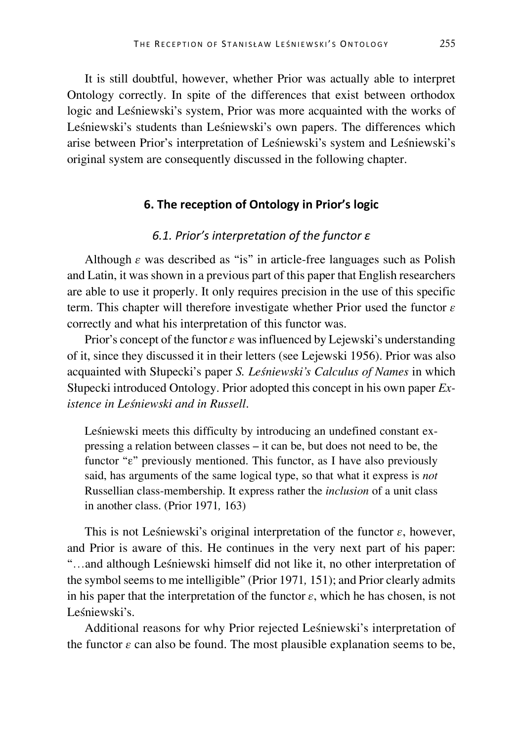It is still doubtful, however, whether Prior was actually able to interpret Ontology correctly. In spite of the differences that exist between orthodox logic and Leśniewski's system, Prior was more acquainted with the works of Leśniewski's students than Leśniewski's own papers. The differences which arise between Prior's interpretation of Leśniewski's system and Leśniewski's original system are consequently discussed in the following chapter.

#### **6. The reception of Ontology in Prior's logic**

# *6.1. Prior's interpretation of the functor ε*

Although  $\varepsilon$  was described as "is" in article-free languages such as Polish and Latin, it was shown in a previous part of this paper that English researchers are able to use it properly. It only requires precision in the use of this specific term. This chapter will therefore investigate whether Prior used the functor *ε* correctly and what his interpretation of this functor was.

Prior's concept of the functor *ε* was influenced by Lejewski's understanding of it, since they discussed it in their letters (see Lejewski 1956). Prior was also acquainted with Słupecki's paper *S. Leśniewski's Calculus of Names* in which Słupecki introduced Ontology. Prior adopted this concept in his own paper *Existence in Leśniewski and in Russell*.

Leśniewski meets this difficulty by introducing an undefined constant expressing a relation between classes – it can be, but does not need to be, the functor "ε" previously mentioned. This functor, as I have also previously said, has arguments of the same logical type, so that what it express is *not* Russellian class-membership. It express rather the *inclusion* of a unit class in another class. (Prior 1971*,* 163)

This is not Leśniewski's original interpretation of the functor *ε*, however, and Prior is aware of this. He continues in the very next part of his paper: "…and although Leśniewski himself did not like it, no other interpretation of the symbol seems to me intelligible" (Prior 1971*,* 151); and Prior clearly admits in his paper that the interpretation of the functor  $\varepsilon$ , which he has chosen, is not Leśniewski's.

Additional reasons for why Prior rejected Leśniewski's interpretation of the functor  $\varepsilon$  can also be found. The most plausible explanation seems to be,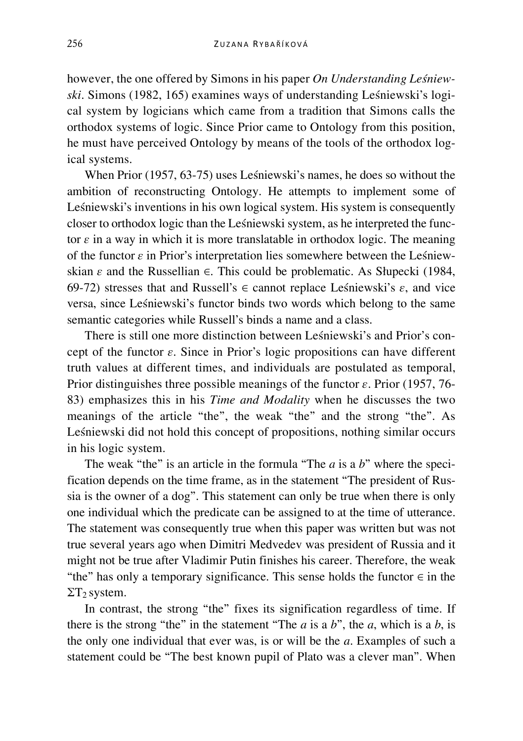however, the one offered by Simons in his paper *On Understanding Leśniewski*. Simons (1982, 165) examines ways of understanding Leśniewski's logical system by logicians which came from a tradition that Simons calls the orthodox systems of logic. Since Prior came to Ontology from this position, he must have perceived Ontology by means of the tools of the orthodox logical systems.

When Prior (1957, 63-75) uses Leśniewski's names, he does so without the ambition of reconstructing Ontology. He attempts to implement some of Leśniewski's inventions in his own logical system. His system is consequently closer to orthodox logic than the Leśniewski system, as he interpreted the functor *ε* in a way in which it is more translatable in orthodox logic. The meaning of the functor *ε* in Prior's interpretation lies somewhere between the Leśniewskian *ε* and the Russellian ∈. This could be problematic. As Słupecki (1984, 69-72) stresses that and Russell's ∈ cannot replace Leśniewski's *ε*, and vice versa, since Leśniewski's functor binds two words which belong to the same semantic categories while Russell's binds a name and a class.

There is still one more distinction between Leśniewski's and Prior's concept of the functor *ε*. Since in Prior's logic propositions can have different truth values at different times, and individuals are postulated as temporal, Prior distinguishes three possible meanings of the functor *ε*. Prior (1957, 76- 83) emphasizes this in his *Time and Modality* when he discusses the two meanings of the article "the", the weak "the" and the strong "the". As Leśniewski did not hold this concept of propositions, nothing similar occurs in his logic system.

The weak "the" is an article in the formula "The *a* is a *b*" where the specification depends on the time frame, as in the statement "The president of Russia is the owner of a dog". This statement can only be true when there is only one individual which the predicate can be assigned to at the time of utterance. The statement was consequently true when this paper was written but was not true several years ago when Dimitri Medvedev was president of Russia and it might not be true after Vladimir Putin finishes his career. Therefore, the weak "the" has only a temporary significance. This sense holds the functor  $\in$  in the  $\Sigma T_2$  system.

In contrast, the strong "the" fixes its signification regardless of time. If there is the strong "the" in the statement "The  $a$  is a  $b$ ", the  $a$ , which is a  $b$ , is the only one individual that ever was, is or will be the *a*. Examples of such a statement could be "The best known pupil of Plato was a clever man". When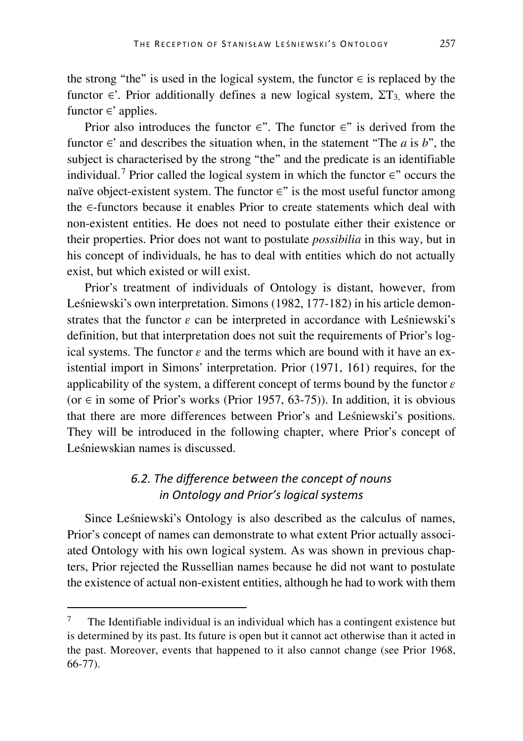the strong "the" is used in the logical system, the functor  $\in$  is replaced by the functor  $\in$ . Prior additionally defines a new logical system,  $\Sigma T_3$ , where the functor ∈' applies.

Prior also introduces the functor  $\epsilon$ ". The functor  $\epsilon$ " is derived from the functor  $\in$ ' and describes the situation when, in the statement "The *a* is *b*", the subject is characterised by the strong "the" and the predicate is an identifiable individual.<sup>[7](#page-14-0)</sup> Prior called the logical system in which the functor  $\epsilon$ " occurs the naïve object-existent system. The functor ∈" is the most useful functor among the ∈-functors because it enables Prior to create statements which deal with non-existent entities. He does not need to postulate either their existence or their properties. Prior does not want to postulate *possibilia* in this way, but in his concept of individuals, he has to deal with entities which do not actually exist, but which existed or will exist.

Prior's treatment of individuals of Ontology is distant, however, from Leśniewski's own interpretation. Simons (1982, 177-182) in his article demonstrates that the functor *ε* can be interpreted in accordance with Leśniewski's definition, but that interpretation does not suit the requirements of Prior's logical systems. The functor  $\varepsilon$  and the terms which are bound with it have an existential import in Simons' interpretation. Prior (1971, 161) requires, for the applicability of the system, a different concept of terms bound by the functor *ε* (or ∈ in some of Prior's works (Prior 1957, 63-75)). In addition, it is obvious that there are more differences between Prior's and Leśniewski's positions. They will be introduced in the following chapter, where Prior's concept of Leśniewskian names is discussed.

# *6.2. The difference between the concept of nouns in Ontology and Prior's logical systems*

Since Leśniewski's Ontology is also described as the calculus of names, Prior's concept of names can demonstrate to what extent Prior actually associated Ontology with his own logical system. As was shown in previous chapters, Prior rejected the Russellian names because he did not want to postulate the existence of actual non-existent entities, although he had to work with them

<span id="page-14-0"></span> <sup>7</sup> The Identifiable individual is an individual which has a contingent existence but is determined by its past. Its future is open but it cannot act otherwise than it acted in the past. Moreover, events that happened to it also cannot change (see Prior 1968, 66-77).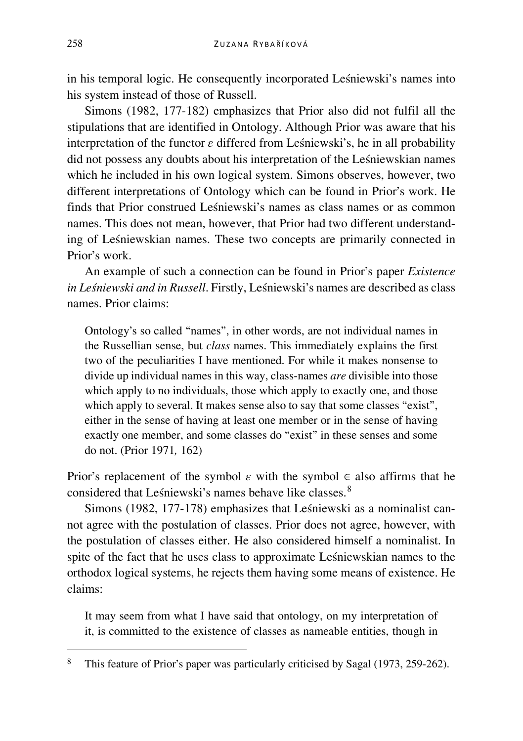in his temporal logic. He consequently incorporated Leśniewski's names into his system instead of those of Russell.

Simons (1982, 177-182) emphasizes that Prior also did not fulfil all the stipulations that are identified in Ontology. Although Prior was aware that his interpretation of the functor *ε* differed from Leśniewski's, he in all probability did not possess any doubts about his interpretation of the Leśniewskian names which he included in his own logical system. Simons observes, however, two different interpretations of Ontology which can be found in Prior's work. He finds that Prior construed Leśniewski's names as class names or as common names. This does not mean, however, that Prior had two different understanding of Leśniewskian names. These two concepts are primarily connected in Prior's work.

An example of such a connection can be found in Prior's paper *Existence in Leśniewski and in Russell*. Firstly, Leśniewski's names are described as class names. Prior claims:

Ontology's so called "names", in other words, are not individual names in the Russellian sense, but *class* names. This immediately explains the first two of the peculiarities I have mentioned. For while it makes nonsense to divide up individual names in this way, class-names *are* divisible into those which apply to no individuals, those which apply to exactly one, and those which apply to several. It makes sense also to say that some classes "exist", either in the sense of having at least one member or in the sense of having exactly one member, and some classes do "exist" in these senses and some do not. (Prior 1971*,* 162)

Prior's replacement of the symbol  $\varepsilon$  with the symbol  $\varepsilon$  also affirms that he considered that Leśniewski's names behave like classes.<sup>[8](#page-15-0)</sup>

Simons (1982, 177-178) emphasizes that Leśniewski as a nominalist cannot agree with the postulation of classes. Prior does not agree, however, with the postulation of classes either. He also considered himself a nominalist. In spite of the fact that he uses class to approximate Leśniewskian names to the orthodox logical systems, he rejects them having some means of existence. He claims:

It may seem from what I have said that ontology, on my interpretation of it, is committed to the existence of classes as nameable entities, though in

<span id="page-15-0"></span> <sup>8</sup> This feature of Prior's paper was particularly criticised by Sagal (1973, 259-262).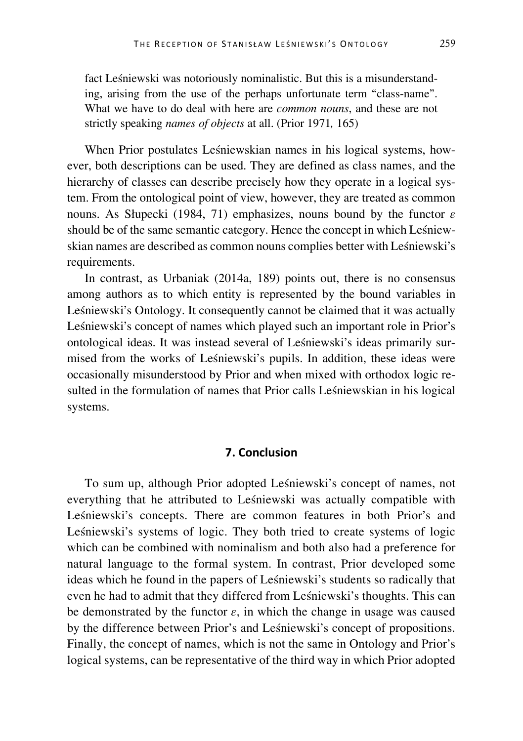fact Leśniewski was notoriously nominalistic. But this is a misunderstanding, arising from the use of the perhaps unfortunate term "class-name". What we have to do deal with here are *common nouns*, and these are not strictly speaking *names of objects* at all. (Prior 1971*,* 165)

When Prior postulates Leśniewskian names in his logical systems, however, both descriptions can be used. They are defined as class names, and the hierarchy of classes can describe precisely how they operate in a logical system. From the ontological point of view, however, they are treated as common nouns. As Słupecki (1984, 71) emphasizes, nouns bound by the functor *ε* should be of the same semantic category. Hence the concept in which Leśniewskian names are described as common nouns complies better with Leśniewski's requirements.

In contrast, as Urbaniak (2014a, 189) points out, there is no consensus among authors as to which entity is represented by the bound variables in Leśniewski's Ontology. It consequently cannot be claimed that it was actually Leśniewski's concept of names which played such an important role in Prior's ontological ideas. It was instead several of Leśniewski's ideas primarily surmised from the works of Leśniewski's pupils. In addition, these ideas were occasionally misunderstood by Prior and when mixed with orthodox logic resulted in the formulation of names that Prior calls Leśniewskian in his logical systems.

## **7. Conclusion**

To sum up, although Prior adopted Leśniewski's concept of names, not everything that he attributed to Leśniewski was actually compatible with Leśniewski's concepts. There are common features in both Prior's and Leśniewski's systems of logic. They both tried to create systems of logic which can be combined with nominalism and both also had a preference for natural language to the formal system. In contrast, Prior developed some ideas which he found in the papers of Leśniewski's students so radically that even he had to admit that they differed from Leśniewski's thoughts. This can be demonstrated by the functor *ε*, in which the change in usage was caused by the difference between Prior's and Leśniewski's concept of propositions. Finally, the concept of names, which is not the same in Ontology and Prior's logical systems, can be representative of the third way in which Prior adopted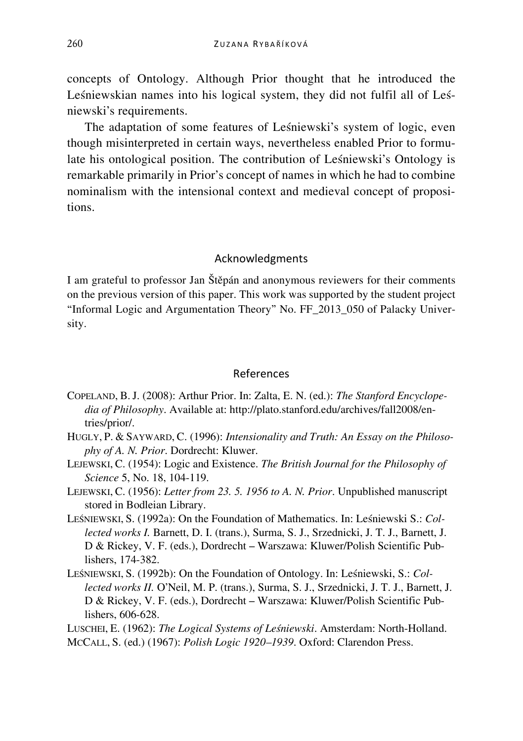concepts of Ontology. Although Prior thought that he introduced the Leśniewskian names into his logical system, they did not fulfil all of Leśniewski's requirements.

The adaptation of some features of Leśniewski's system of logic, even though misinterpreted in certain ways, nevertheless enabled Prior to formulate his ontological position. The contribution of Leśniewski's Ontology is remarkable primarily in Prior's concept of names in which he had to combine nominalism with the intensional context and medieval concept of propositions.

## Acknowledgments

I am grateful to professor Jan Štěpán and anonymous reviewers for their comments on the previous version of this paper. This work was supported by the student project "Informal Logic and Argumentation Theory" No. FF\_2013\_050 of Palacky University.

#### References

- COPELAND, B.J. (2008): Arthur Prior. In: Zalta, E. N. (ed.): *The Stanford Encyclopedia of Philosophy*. Available at: http://plato.stanford.edu/archives/fall2008/entries/prior/.
- HUGLY, P. & SAYWARD, C. (1996): *Intensionality and Truth: An Essay on the Philosophy of A. N. Prior*. Dordrecht: Kluwer.
- LEJEWSKI, C. (1954): Logic and Existence. *The British Journal for the Philosophy of Science* 5, No. 18, 104-119.
- LEJEWSKI, C. (1956): *Letter from 23. 5. 1956 to A. N. Prior*. Unpublished manuscript stored in Bodleian Library.
- LEŚNIEWSKI, S. (1992a): On the Foundation of Mathematics. In: Leśniewski S.: *Collected works I.* Barnett, D. I. (trans.), Surma, S. J., Srzednicki, J. T. J., Barnett, J. D & Rickey, V. F. (eds.), Dordrecht – Warszawa: Kluwer/Polish Scientific Publishers, 174-382.
- LEŚNIEWSKI, S. (1992b): On the Foundation of Ontology. In: Leśniewski, S.: *Collected works II.* O'Neil, M. P. (trans.), Surma, S. J., Srzednicki, J. T. J., Barnett, J. D & Rickey, V. F. (eds.), Dordrecht – Warszawa: Kluwer/Polish Scientific Publishers, 606-628.

LUSCHEI, E. (1962): *The Logical Systems of Leśniewski*. Amsterdam: North-Holland. MCCALL, S. (ed.) (1967): *Polish Logic 1920–1939*. Oxford: Clarendon Press.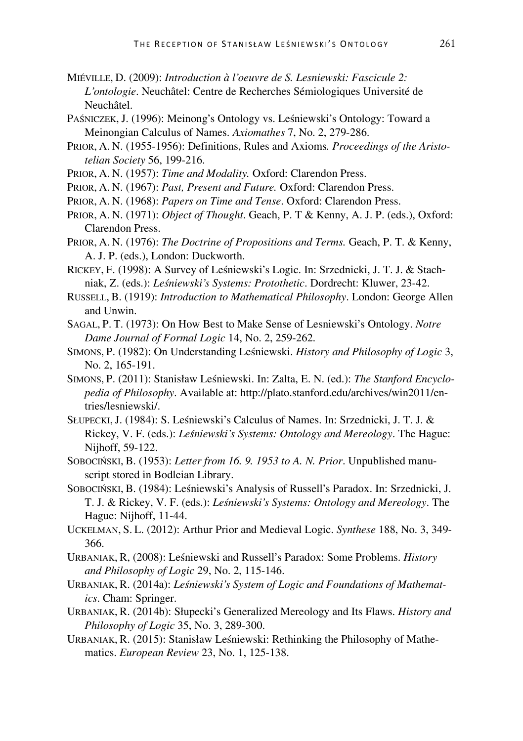- MIÉVILLE, D. (2009): *Introduction à l'oeuvre de S. Lesniewski: Fascicule 2: L'ontologie*. Neuchâtel: Centre de Recherches Sémiologiques Université de Neuchâtel.
- PAŚNICZEK, J. (1996): Meinong's Ontology vs. Leśniewski's Ontology: Toward a Meinongian Calculus of Names. *Axiomathes* 7, No. 2, 279-286.
- PRIOR, A. N. (1955-1956): Definitions, Rules and Axioms*. Proceedings of the Aristotelian Society* 56, 199-216.
- PRIOR, A. N. (1957): *Time and Modality.* Oxford: Clarendon Press.
- PRIOR, A. N. (1967): *Past, Present and Future.* Oxford: Clarendon Press.
- PRIOR, A. N. (1968): *Papers on Time and Tense*. Oxford: Clarendon Press.
- PRIOR, A. N. (1971): *Object of Thought*. Geach, P. T & Kenny, A. J. P. (eds.), Oxford: Clarendon Press.
- PRIOR, A. N. (1976): *The Doctrine of Propositions and Terms.* Geach, P. T. & Kenny, A. J. P. (eds.), London: Duckworth.
- RICKEY, F. (1998): A Survey of Leśniewski's Logic. In: Srzednicki, J. T. J. & Stachniak, Z. (eds.): *Leśniewski's Systems: Protothetic*. Dordrecht: Kluwer, 23-42.
- RUSSELL, B. (1919): *Introduction to Mathematical Philosophy*. London: George Allen and Unwin.
- SAGAL, P. T. (1973): On How Best to Make Sense of Lesniewski's Ontology. *Notre Dame Journal of Formal Logic* 14, No. 2, 259-262.
- SIMONS, P. (1982): On Understanding Leśniewski. *History and Philosophy of Logic* 3, No. 2, 165-191.
- SIMONS, P. (2011): Stanisław Leśniewski. In: Zalta, E. N. (ed.): *The Stanford Encyclopedia of Philosophy*. Available at: http://plato.stanford.edu/archives/win2011/entries/lesniewski/.
- SŁUPECKI, J. (1984): S. Leśniewski's Calculus of Names. In: Srzednicki, J. T. J. & Rickey, V. F. (eds.): *Leśniewski's Systems: Ontology and Mereology*. The Hague: Nijhoff, 59-122.
- SOBOCIŃSKI, B. (1953): *Letter from 16. 9. 1953 to A. N. Prior*. Unpublished manuscript stored in Bodleian Library.
- SOBOCIŃSKI, B. (1984): Leśniewski's Analysis of Russell's Paradox. In: Srzednicki, J. T. J. & Rickey, V. F. (eds.): *Leśniewski's Systems: Ontology and Mereology*. The Hague: Nijhoff, 11-44.
- UCKELMAN, S. L. (2012): Arthur Prior and Medieval Logic. *Synthese* 188, No. 3, 349- 366.
- URBANIAK, R, (2008): Leśniewski and Russell's Paradox: Some Problems. *History and Philosophy of Logic* 29, No. 2, 115-146.
- URBANIAK, R. (2014a): *Leśniewski's System of Logic and Foundations of Mathematics*. Cham: Springer.
- URBANIAK, R. (2014b): Słupecki's Generalized Mereology and Its Flaws. *History and Philosophy of Logic* 35, No. 3, 289-300.
- URBANIAK, R. (2015): Stanisław Leśniewski: Rethinking the Philosophy of Mathematics. *European Review* 23, No. 1, 125-138.